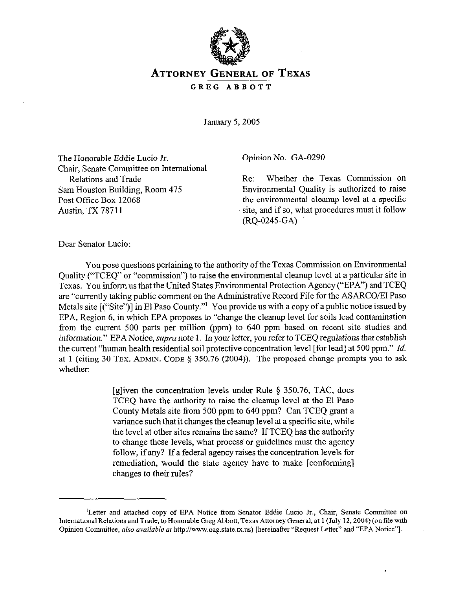

# **ATTORNEY GENERAL OF TEXAS**  GREG ABBOTT

*January 5,2005* 

The Honorable Eddie Lucia Jr. Chair, Senate Committee on International Relations and Trade Sam Houston Building, Room 475 Post Office Box 12068 Austin, TX 78711

Opinion No. GA-0290

Re: Whether the Texas Commission on Environmental Quality is authorized to raise the environmental cleanup level at a specific site, and if so, what procedures must it follow (RQ-0245-GA)

Dear Senator Lucia:

You pose questions pertaining to the authority of the Texas Commission on Environmental Quality ("TCEQ" or "commission") to raise the environmental cleanup level at a particular site in Texas. You inform us that the United States Environmental Protection Agency ("EPA") and TCEQ are "currently taking public comment on the Administrative Record File for the ASARCO/El Paso Metals site  $[(``Site")]$  in El Paso County."<sup>1</sup> You provide us with a copy of a public notice issued by EPA, Region 6, in which EPA proposes to "change the cleanup level for soils lead contamination from the current 500 parts per million (ppm) to 640 ppm based on recent site studies and information." EPA Notice, supra note 1. In your letter, you refer to TCEQ regulations that establish the current "human health residential soil protective concentration level [for lead] at 500 ppm." *Id.*  at 1 (citing 30 TEX. ADMIN. CODE  $\S$  350.76 (2004)). The proposed change prompts you to ask whether:

> [g] iven the concentration levels under Rule  $\S$  350.76, TAC, does TCEQ have the authority to raise the cleanup level at the El Paso County Metals site from 500 ppm to 640 ppm? Can TCEQ grant a variance such that it changes the cleanup level at a specific site, while the level at other sites remains the same? If TCEQ has the authority to change these levels, what process or guidelines must the agency follow, if any? If a federal agency raises the concentration levels for remediation, would the state agency have to make [conforming] changes to their rules?

<sup>&#</sup>x27;Letter and attached copy of EPA Notice from Senator Eddie Lucia Jr., Chair, Senate Committee on International Relations and Trade, to Honorable Greg Abbott, Texas Attorney General, at 1 (July 12,2004) (on tile with Opinion Committee, also available at http://www.oag.state.tx.us) [hereinafter "Request Letter" and "EPA Notice"].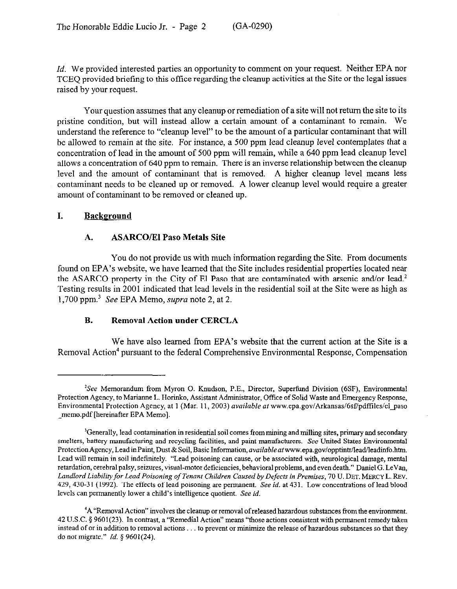*Id.* We provided interested parties an opportunity to comment on your request. Neither EPA nor TCEQ provided briefing to this office regarding the cleanup activities at the Site or the legal issues raised by your request.

Yom question assumes that any cleanup or remediation of a site will not return the site to its pristine condition, but will instead allow a certain amount of a contaminant to remain. We understand the reference to "cleanup level" to be the amount of a particular contaminant that will be allowed to remain at the site. For instance, a 500 ppm lead cleanup level contemplates that a concentration of lead in the amount of 500 ppm will remain, while a 640 ppm lead cleanup level allows a concentration of 640 ppm to remain. There is an inverse relationship between the cleanup level and the amount of contaminant that is removed. A higher cleanup level means less contaminant needs to be cleaned up or removed. A lower cleanup level would require a greater amount of contaminant to be removed or cleaned up.

### **I. Background**

### A. **ASARCO/El Paso Metals Site**

You do not provide us with much information regarding the Site. From documents found on EPA's website, we have learned that the Site includes residential properties located near the ASARCO property in the City of El Paso that are contaminated with arsenic and/or lead.<sup>2</sup> Testing results in 2001 indicated that lead levels in the residential soil at the Site were as high as 1,700 ppm.3 See EPA Memo, supra note 2, at 2.

### **B. Removal Action under CERCLA**

We have also learned from EPA's website that the current action at the Site is a Removal Action<sup>4</sup> pursuant to the federal Comprehensive Environmental Response, Compensation

 $k^2$ See Memorandum from Myron O. Knudson, P.E., Director, Superfund Division (6SF), Environmental Protection Agency, to Marianne L. Horinko, Assistant Administrator, Office of Solid Waste and Emergency Response, Environmental Protection Agency, at 1 (Mar. 11, 2003) *available* af www.epa.goviArkansas/6sf/pdffiles/elqaso memo.pdf [hereinafter EPA Memo].

<sup>&#</sup>x27;Generally, lead contamination in residential soil comes from mining and milling sites, primary and secondary smelters, battery manufacturing and recycling facilities, and paint manufacturers. See United States Environmental Protection Agency, Lead in Paint, Dust & Soil, Basic Information, *available at* www.epa.gov/opptintr/lead/leadinfo.htm. Lead will remain in soil indefinitely. "Lead poisoning can cause, or be associated with, neurological damage, mental retardation, cerebral palsy, seizures, visual-motor deficiencies, behavioral problems, and even death." Daniel G. LeVan, *Landlord Liability for Lead Poisoning of Tenant Children Caused by Defects in Premises, 70* U. DET. MERCY L. REV. 429,430.3 1 (1992). The effects of lead poisoning are permanent. See *id.* at 431. Low concentrations of lead blood levels can permanently lower a child's intelligence quotient. See *id.* 

<sup>&</sup>lt;sup>4</sup>A "Removal Action" involves the cleanup or removal of released hazardous substances from the environment. 42 U.S.C. 5 9601(23). In contrast, a "Remedial Action" means "those actions consistent with permanent remedy taken instead of or in addition to removal actions . . . to prevent or minimize the release of hazardous substances so that they do not migrate." *Id. 9 9601(24).*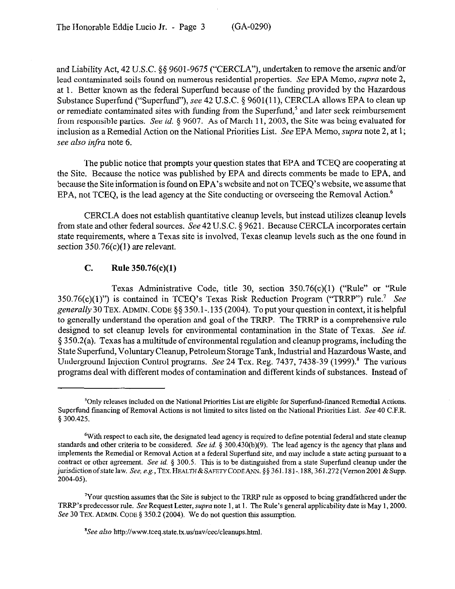and Liability Act, 42 U.S.C. §§ 9601-9675 ("CERCLA"), undertaken to remove the arsenic and/or lead contaminated soils found on numerous residential properties. See EPA Memo, *supra* note 2, at 1. Better known as the federal Superfund because of the funding provided by the Hazardous Substance Superfund ("Superfund"), see 42 U.S.C. § 9601(11), CERCLA allows EPA to clean up or remediate contaminated sites with funding from the Superfund,<sup>5</sup> and later seek reimbursement from responsible parties. See *id.* § 9607. As of March 11, 2003, the Site was being evaluated for inclusion as a Remedial Action on the National Priorities List. See EPA Memo, *supra* note 2, at 1; *see also infra* note 6.

The public notice that prompts your question states that EPA and TCEQ are cooperating at the Site. Because the notice was published by EPA and directs comments be made to EPA, and because the Site information is found on EPA's website and not on TCEQ's website, we assume that EPA, not TCEQ, is the lead agency at the Site conducting or overseeing the Removal Action.<sup>6</sup>

CERCLA does not establish quantitative cleanup levels, but instead utilizes cleanup levels from state and other federal sources. See 42 U.S.C. § 9621. Because CERCLA incorporates certain state requirements, where a Texas site is involved, Texas cleanup levels such as the one found in section  $350.76(c)(1)$  are relevant.

#### C. **Rule 350.76(c)(l)**

Texas Administrative Code, title 30, section 350.76(c)(l) ("Rule" or "Rule 350.76(c)(l)") is contained in TCEQ's Texas Risk Reduction Program ("TRRP") rule? See generally 30 TEX. ADMIN. CODE §§ 350.1-.135 (2004). To put your question in context, it is helpful to generally understand the operation and goal of the TRRP. The TRRP is a comprehensive rule designed to set cleanup levels for environmental contamination in the State of Texas. See *id.*   $§$  350.2(a). Texas has a multitude of environmental regulation and cleanup programs, including the State Superfund, Voluntary Cleanup, Petroleum Storage Tank, Industrial and Hazardous Waste, and Underground Injection Control programs. See 24 Tex. Reg. 7437, 7438-39 (1999).<sup>8</sup> The various programs deal with different modes of contamination and different kinds of substances. Instead of

<sup>&#</sup>x27;Only releases included on the National Priorities List are eligible for Superfond-financed Remedial Actions. Superfund financing of Removal Actions is not limited to sites listed on the National Priorities List. See 40 C.F.R. 5 300.425.

<sup>6</sup>With respect to each site, the designated lead agency is required to define potential federal and state cleanup standards and other criteria to be considered. See *id. 5* 300.430(b)(9). The lead agency is the agency that plans and implements the Remedial or Removal Action at a federal Superfond site, and may include a state acting pursuant to a contract or other agreement. See *id.* 5 300.5. This is to be distinguished from a state Superfind cleanup under the jurisdiction of state law. See, e.g., TEX. HEALTH & SAFETY CODEANN.  $\S$ § 361.181-.188, 361.272 (Vernon 2001 & Supp. *2004-05).* 

 $\gamma$ Your question assumes that the Site is subject to the TRRP rule as opposed to being grandfathered under the TRRP's predecessor rule. See Request Letter, supra note 1, at 1. The Rule's general applicability date is May 1,200O. See 30 TEX. ADMIN. CODE § 350.2 (2004). We do not question this assumption.

 ${}^{8}$ See also http://www.tceq.state.tx.us/nav/cec/cleanups.html.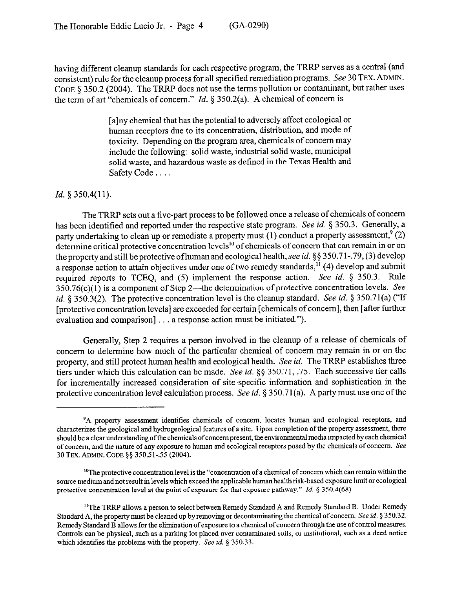having different cleanup standards for each respective program, the TRRP serves as a central (and consistent) rule for the cleanup process for all specified remediation programs. See 30 TEX. ADMIN. CODE § 350.2 (2004). The TRRP does not use the terms pollution or contaminant, but rather uses the term of art "chemicals of concern." *Id.* 5 350.2(a). A chemical of concern is

> [a]ny chemical that has the potential to adversely affect ecological or human receptors due to its concentration, distribution, and mode of toxicity. Depending on the program area, chemicals of concern may include the following: solid waste, industrial solid waste, municipal solid waste, and hazardous waste as defined in the Texas Health and Safety Code . . . .

#### *Id. 9 350.4(11).*

The TRRP sets out a five-part process to be followed once a release of chemicals of concern has been identified and reported under the respective state program. See *id.* 5 350.3. Generally, a party undertaking to clean up or remediate a property must  $(1)$  conduct a property assessment.  $(2)$ determine critical protective concentration levels<sup>10</sup> of chemicals of concern that can remain in or on the property and still be protective of human and ecological health, see *id.* §§ 350.71-.79, (3) develop a response action to attain objectives under one of two remedy standards,<sup>11</sup> (4) develop and submit required reports to TCEQ, and (5) implement the response action. See *id.* 5 350.3. Rule  $350.76(c)(1)$  is a component of Step 2—the determination of protective concentration levels. See *id.* § 350.3(2). The protective concentration level is the cleanup standard. See *id.* § 350.71(a) ("If [protective concentration levels] are exceeded for certain [chemicals of concern], then [after further evaluation and comparison]  $\ldots$  a response action must be initiated.").

Generally, Step 2 requires a person involved in the cleanup of a release of chemicals of concern to determine how much of the particular chemical of concern may remain in or on the property, and still protect human health and ecological health. See *id.* The TRRP establishes three tiers under which this calculation can be made. See *id*. §§ 350.71, .75. Each successive tier calls for incrementally increased consideration of site-specific information and sophistication in the protective concentration level calculation process. See *id.* 5 350,71(a). A party must use one ofthe

<sup>&#</sup>x27;A property assessment identities chemicals of concern, locates human and ecological receptors, and characterizes the geological and hydrogeological features of a site. Upon completion of the property assessment, there should be a clear understanding of the chemicals of concern present, the environmental media impacted by each chemical of concern, and the nature of any exposure to human and ecological receptors posed by the chemicals of concern. See 30 TEX. ADMIN. CODE §§ 350.51-.55 (2004).

<sup>&</sup>lt;sup>10</sup>The protective concentration level is the "concentration of a chemical of concern which can remain within the source mediumand not result in levels which exceed the applicable humanhealtb risk-based exposure limit or ecological protective concentration level at the point of exposure for that exposure pathway." *Id.* § 350.4(68).

<sup>&</sup>lt;sup>11</sup>The TRRP allows a person to select between Remedy Standard A and Remedy Standard B. Under Remedy Standard A, the property must be cleaned up by removing or decontaminating the chemical of concern. See *id.* § 350.32. Remedy Standard B allows for the elimination of exposure to a chemical of concern through the use of c Remedy Standard B allows for the elimination ofexposure to a chemical of concern through the use of control measures. Controls can be physical, such as a parking lot placed over contaminated soils, or institutional, such as a deed notice which identifies the problems with the property. See *id.* § 350.33.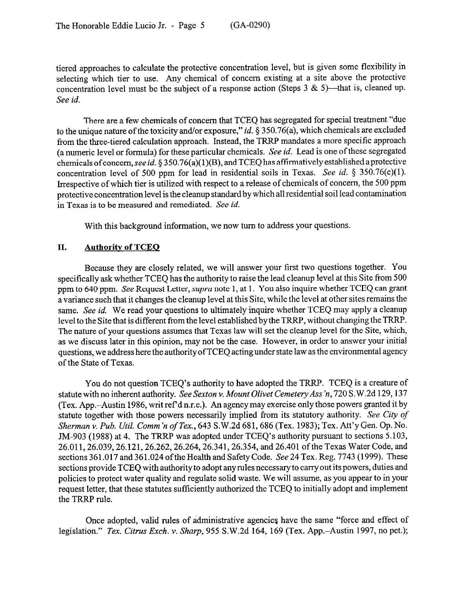tiered approaches to calculate the protective concentration level, but is given some flexibility in selecting which tier to use. Any chemical of concern existing at a site above the protective concentration level must be the subject of a response action (Steps 3 & 5)—that is, cleaned up. See *id.* 

There are a few chemicals of concern that TCEQ has segregated for special treatment "due to the unique nature of the toxicity and/or exposure," *id.* § 350.76(a), which chemicals are excluded from the three-tiered calculation approach. Instead, the TRRP mandates a more specific approach (a numeric level or formula) for these particular chemicals. See *id.* Lead is one of these segregated chemicals of concern, see id.  $\S 350.76(a)(1)(B)$ , and TCEQ has affirmatively established a protective concentration level of 500 ppm for lead in residential soils in Texas. See *id. 5* 350.76(c)(l). Irrespective of which tier is utilized with respect to a release of chemicals of concern, the 500 ppm protective concentration level is the cleanup standard by which all residential soil lead contamination in Texas is to be measured and remediated. See *id.* 

With this background information, we now turn to address your questions.

### **II. Authoritv of TCEO**

Because they are closely related, we will answer your first two questions together. You specifically ask whether TCEQ has the authority to raise the lead cleanup level at this Site from 500 ppm to 640 ppm. See Request Letter, *supra* note 1, at 1. You also inquire whether TCEQ can grant a variance such that it changes the cleanup level at this Site, while the level at other sites remains the same. See *id.* We read your questions to ultimately inquire whether TCEQ may apply a cleanup level to the Site that is different from the level established by the TRRP, without changing the TRRP. The nature of your questions assumes that Texas law will set the cleanup level for the Site, which, as we discuss later in this opinion, may not be the case. However, in order to answer your initial questions, we address here the authority ofTCEQ acting under state law as the environmental agency of the State of Texas.

You do not question TCEQ's authority to have adopted the TRRP. TCEQ is a creature of statute withno inherent authority. SeeSexton v. *Mount Olivet Cemetery Ass 'n, 720* S.W.2d 129,137 (Tex. App.-Austin 1986, writ ref d n.r.e.). An agency may exercise only those powers granted it by statute together with those powers necessarily implied from its statutory authority. See *City of Sherman* V. *Pub. Util. Comm'n of Tex.,* 643 S.W.2d 681,686 (Tex. 1983); Tex. Att'y Gen. Qp. No. JM-903 (1988) at 4. The TRRP was adopted under TCEQ's authority pursuant to sections 5.103, 26.011,26.039,26.121,26.262,26.264,26.341,26.354, and 26.401 ofthe Texas Water Code, and sections 361.017 and 361.024 of the Health and Safety Code. See 24 Tex. Reg. 7743 (1999). These sections provide TCEQ with authority to adopt any rules necessary to carry out its powers, duties and policies to protect water quality and regulate solid waste. We will assume, as you appear to in your request letter, that these statutes sufficiently authorized the TCEQ to initially adopt and implement the TRRP rule.

Once adopted, valid rules of administrative agencies have the same "force and effect of legislation." *Tex. Citrus Exch.* v. *Sharp,* 955 S.W.2d 164, 169 (Tex. App.-Austin 1997, no pet.);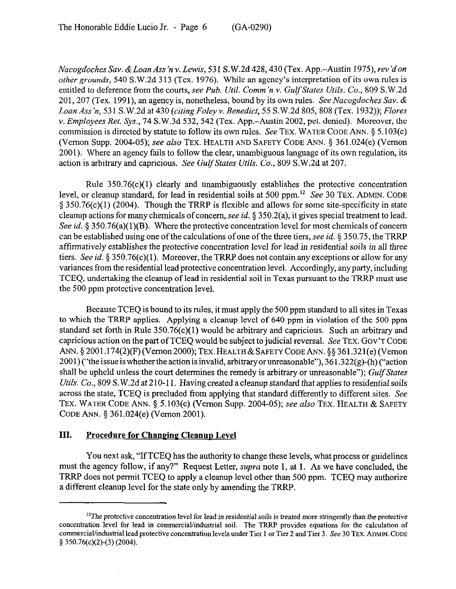*Nacogdoches* Sav. &Loan *Ass'n* v. *Lewis,* 531 S.W.2d 428,430 (Tex. App.-Austin 1975), *rev'don other grounds, 540* S.W.2d 313 (Tex. 1976). While an agency's interpretation of its own rules is entitled to deference from the *courts, see Pub. Util. Comm 'n v. Gulf States Utils. Co., 809* S.W.2d 201,207 (Tex. 1991), an agency is, nonetheless, bound by its *own* rules. *See Nacogdoches SW. & Loan Ass iz, 531* S.W.2d at *430 (CitingFoley v. Benedict, 55* S.W.2d 805,808 (Tex. 1932)); *Flares Y. Employees Ret.* Sys., 74 S.W.3d 532,542 (Tex. App.-Austin 2002, pet. denied). Moreover, the commission is directed by statute to follow its own rules. See TEX. WATER CODE ANN.  $\S 5.103(c)$ (Vernon Supp. 2004-05); see *also* TEX. HEALTH AND SAFETY CODE ANN. 5 361.024(e) (Vernon 2001). Where an agency fails to follow the clear, unambiguous language of its own regulation, its action is arbitrary and capricious. See *Gulf States Utils. Co., 809* S.W.2d at 207.

Rule 350.76(c)(l) clearly and unambiguously establishes the protective concentration level, or cleanup standard, for lead in residential soils at 500 ppm. $^{12}$  See 30 TEX. ADMIN. CODE  $\S 350.76(c)(1)$  (2004). Though the TRRP is flexible and allows for some site-specificity in state cleanup actions for many chemicals of concern, see *id.* 5 350.2(a), it gives special treatment to lead. See *id.* § 350.76(a)(1)(B). Where the protective concentration level for most chemicals of concern can be established using one of the calculations of one of the three tiers, see *id. 5 350.75,* the TRRP affirmatively establishes the protective *concentration* level for lead in residential soils in all three tiers. See *id.* 5 350.76(c)(l). Moreover, the TRRP does not contain any exceptions or allow for any variances from the residential lead protective concentration level. Accordingly, any party, including TCEQ, undertaking the cleanup of lead in residential soil in Texas pursuant to the TRRP must use the 500 ppm protective concentration level.

Because TCEQ is bound to its rules, it must apply the 500 ppm standard to all sites in Texas to which the TRRP applies. Applying a cleanup level of 640 ppm in violation of the 500 ppm standard set forth in Rule  $350.76(c)(1)$  would be arbitrary and capricious. Such an arbitrary and capricious action on the part of TCEQ would be subject to judicial reversal. See TEX. GOV'T CODE ANN. § 2001.174(2)(F)(Vernon 2000); TEX. HEALTH & SAFETY CODE ANN. §§ 361.321(e)(Vernon  $2001$ ) ("the issue is whether the action is invalid, arbitrary or unreasonable"), 361.322(g)-(h) ("action shall be upheld unless the court determines the remedy is arbitrary or unreasonable"); *Gulf States Utils. Co.*, 809 S.W.2d at 210-11. Having created a cleanup standard that applies to residential soils across the state, TCEQ is precluded from applying that standard differently to different sites. See TEX. WATER CODE ANN. \$ 5.103(c) (Vernon Supp. 2004-05); see *also* TEX. HEALTH & SAFETY CODE ANN. 5 361.024(e) (Vernon 2001).

### **III.** Procedure for Changing Cleanup Level

You next ask, "If TCEQ has the authority to change these levels, what process or guidelines must the agency follow, if any?" Request Letter, *supra* note 1, at 1. As we have concluded, the TRRP does not permit TCEQ to apply a cleanup level other than 500 ppm. TCEQ may authorize a different cleanup level for the state only by amending the TRRP.

 $^{12}$ The protective concentration level for lead in residential soils is treated more stringently than the protective concentration level for lead in commercial/industrial soil. The TRRF' provides equations for the calculation of commercial/industrial lead protective concentration levels under Tier 1 or Tier 2 and Tier 3. See 30 TEX. ADMIN. CODE *§ 350.76(c)(2)-(3) (2004).*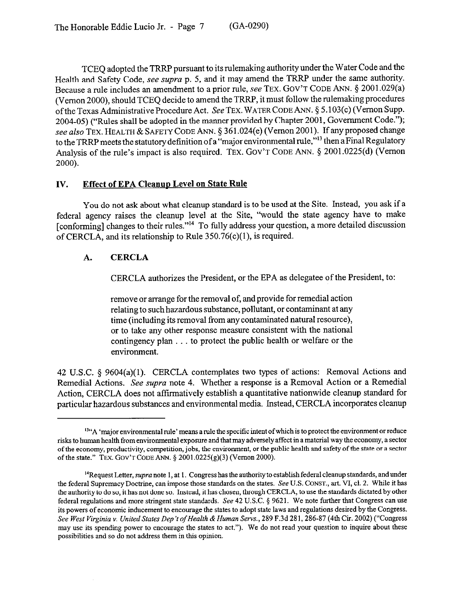TCEQ adopted the TRRP pursuant to its rulemaking authority under the Water Code and the Health and Safety Code, see supra p. 5, and it may amend the TRRP under the same authority. Because a rule includes an amendment to a prior rule, see TEX. GOV'T CODE ANN. § 2001.029(a) (Vernon 2000), should TCEQ decide to amend the TRRP, it must follow the rulemaking procedures of the Texas Administrative Procedure Act. See TEX. WATER CODE ANN. § 5.103(c) (Vernon Supp. 2004-05) ("Rules shall be adopted in the manner provided by Chapter 2001, Government Code."); see also TEX. HEALTH & SAFETY CODE ANN. § 361.024(e) (Vernon 2001). If any proposed change to the TRRP meets the statutory definition of a "major environmental rule,"<sup>13</sup> then a Final Regulatory Analysis of the rule's impact is also required. TEX. GOV'T CODE ANN. § 2001.0225(d) (Vernon **2000).** 

### IV. Effect of EPA Cleanup Level on State Rule

You do not ask about what cleanup standard is to be used at the Site. Instead, you ask if a federal agency raises the cleanup level at the Site, "would the state agency have to make [conforming] changes to their rules."<sup>14</sup> To fully address your question, a more detailed discussion of CERCLA, and its relationship to Rule 350.76(c)(l), is required.

# **A. CERCLA**

CERCLA authorizes the President, or the EPA as delegatee of the President, to:

remove or arrange for the removal of, and provide for remedial action relating to such hazardous substance, pollutant, or contaminant at any time (including its removal from any contaminated natural resource), or to take any other response measure consistent with the national contingency plan . . to protect the public health or welfare or the environment.

42 U.S.C. 5 9604(a)(l). CERCLA contemplates two types of actions: Removal Actions and Remedial Actions. See supra note 4. Whether a response is a Removal Action or a Remedial Action, CERCLA does not affirmatively establish a quantitative nationwide cleanup standard for particular hazardous substances and environmental media. Instead, CERCLA incorporates cleanup

 $<sup>13</sup>$ "A 'major environmental rule' means a rule the specific intent of which is to protect the environment or reduce</sup> risks to human health from environmental exposure and that may adversely affect in a material way the economy, a sector of the economy, productivity, competition, jobs, the environment, or the public health and safety of the state or a sector of the state." TEX. GOV'T CODE ANN.  $\S$  2001.0225(g)(3) (Vernon 2000).

<sup>&</sup>lt;sup>14</sup>Request Letter, *supra* note 1, at 1. Congress has the authority to establish federal cleanup standards, and under the federal Supremacy Doctrine, can impose those standards on the states. See U.S. CONST., art. VI, cl. 2. While it has the authority to do so, it has not done so. Instead, it has chosen, through CERCLA, to use the standar the authority to do so, it has not done so. Instead, it has chosen, through CERCLA, to use the standards dictated by other federal regulations and mope stringent state standards. See 42 U.S.C. 5 9621. We note further that Congress can use its powers of economic inducement to encourage the states to adopt state laws and regulations desired by the Congress. See West Virginia v. United States Dep't of Health & Human Servs., 289 F.3d 281, 286-87 (4th Cir. 2002) ("Congress may use its spending power to encourage the states to act."). We do not read your question to inquire about these posslblhtles and so do not address them in this opinion.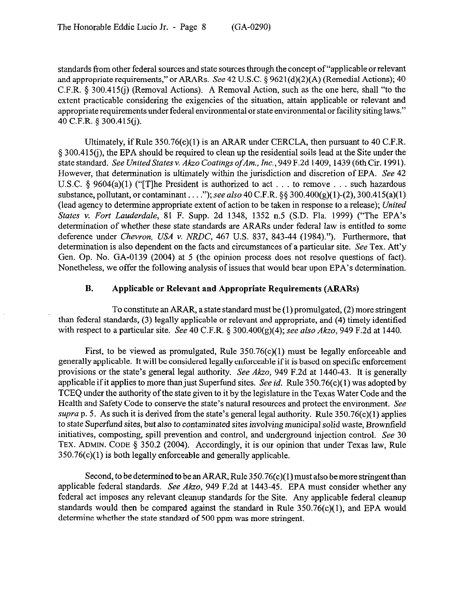standards from other federal sources and state sources through the concept of "applicable or relevant and appropriate requirements," or ARARs. See 42 U.S.C.  $\S$  9621(d)(2)(A) (Remedial Actions); 40 C.F.R.  $\S 300.415(i)$  (Removal Actions). A Removal Action, such as the one here, shall "to the extent practicable considering the exigencies of the situation, attain applicable or relevant and appropriate requirements under federal environmental or state environmental or facility siting laws." 40 C.F.R. 5 300.415(j).

Ultimately, if Rule 350.76(c)(l) is an ARAR under CERCLA, then pursuant to 40 C.F.R. 5 300.415cj), the EPA should be required to clean up the residential soils lead at the Site under the state standard. *See United States v. Akzo Coatings ofAm., Inc., 949* F.2d 1409,1439 (6th Cir. 1991). However, that determination is ultimately within the jurisdiction and discretion of EPA. See 42 U.S.C.  $\S$  9604(a)(1) ("[T]he President is authorized to act . . . to remove . . . such hazardous substance, pollutant, or contaminant . . . ."); see also 40 C.F.R. §§ 300.400(g)(1)-(2), 300.415(a)(1) (lead agency to determine appropriate extent of action to be taken in response to a release); *United States v. Fort Lauderdale,* 81 F. Supp. 2d 1348, 1352 n.5 (S.D. Fla. 1999) ("The EPA's determination of whether these state standards are ARARs under federal law is entitled to some deference under Chevron, *USA* v. NRDC, 467 U.S. 837, 843-44 (1984)."). Furthermore, that determination is also dependent on the facts and circumstances of a particular site. See Tex. Att'y Gen. Op. No. GA-0139 (2004) at 5 (the opinion process does not resolve questions of fact). Nonetheless, we offer the following analysis of issues that would bear upon EPA's determination.

### **B. Applicable or Relevant and Appropriate Requirements (ARARs)**

To constitute an ARAR, a state standard must be (1) promulgated, (2) more stringent than federal standards, (3) legally applicable or relevant and appropriate, and (4) timely identified with respect to a particular site. See 40 C.F.R. § 300.400(g)(4); see also *Akzo, 949* F.2d at 1440.

First, to be viewed as promulgated, Rule  $350.76(c)(1)$  must be legally enforceable and generally applicable. It will be considered legally enforceable if it is based on specific enforcement provisions or the state's general legal authority. See *Akzo,* 949 F.2d at 1440-43. It is generally applicable if it applies to more than just Superfund sites. See *id.* Rule 350,76(c)(l) was adopted by TCEQ under the authority of the state given to it by the legislature in the Texas Water Code and the Health and Safety Code to conserve the state's natural resources and protect the environment. See supra p. 5. As such it is derived from the state's general legal authority. Rule  $350.76(c)(1)$  applies to state Superfimd sites, but also to contaminated sites involving municipal solid waste, Brownfield initiatives, composting, spill prevention and control, and underground injection control. See 30 TEX. ADMIN. CODE  $\S$  350.2 (2004). Accordingly, it is our opinion that under Texas law, Rule 350.76(c)(l) is both legally enforceable and generally applicable.

Second, to be determined to be an ARAR, Rule 350.76(c)( 1) must also be more stringent than applicable federal standards. See *Akzo,* 949 F.2d at 1443-45. EPA must consider whether any federal act imposes any relevant cleanup standards for the Site. Any applicable federal cleanup standards would then be compared against the standard in Rule  $350.76(c)(1)$ , and EPA would determine whether the state standard of 500 ppm was more stringent.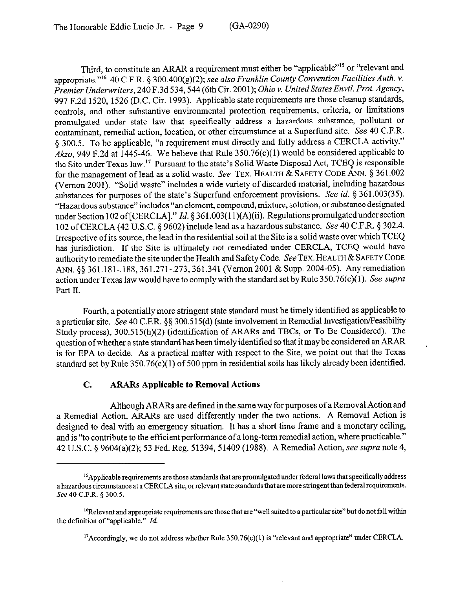Third, to constitute an ARAR a requirement must either be "applicable"<sup>15</sup> or "relevant and appropriate."'6 40 C.F.R. § 300,400(g)(2); *see also Franklin County Convention Facilities Auth. Y. Premier Underwriters, 240* F.3d 534,544 (6th Cir. *2001); Ohio v. UnitedStates Envtl. Prot. Agency,*  997 F.2d 1520, 1526 (D.C. Cir. 1993). Applicable state requirements are those cleanup standards, controls, and other substantive environmental protection requirements, criteria, or limitations promulgated under state law that specifically address a hazardous substance, pollutant or contaminant, remedial action, location, or other circumstance at a Superfund site. See 40 C.F.R. 5 300.5. To be applicable, "a requirement must directly and fully address a CERCLA activity." *Akzo,* 949 F.2d at 1445-46. We believe that Rule 350.76(c)(l) would be considered applicable to the Site under Texas law." Pursuant to the state's Solid Waste Disposal Act, TCEQ is responsible for the management of lead as a solid waste. See TEX. HEALTH & SAFETY CODE ANN. 5 361.002 (Vernon 2001). "Solid waste" includes a wide variety of discarded material, including hazardous substances for purposes of the state's Superfund enforcement provisions. See *id. 5* 361.003(35). "Hazardous substance" includes "an element, compound, mixture, solution, or substance designated under Section 102 of [CERCLA]." *Id.* § 361.003(11)(A)(ii). Regulations promulgated under section 102 of CERCLA (42 U.S.C. § 9602) include lead as a hazardous substance. See 40 C.F.R. § 302.4. Irrespective of its source, the lead in the residential soil at the Site is a solid waste over which TCEQ has jurisdiction. If the Site is ultimately not remediated under CERCLA, TCEQ would have authority to remediate the site under the Health and Safety Code. See TEX. HEALTH & SAFETY CODE ANN. \$5 361.181-.188,361.271-.273,361.341 (Vernon 2001 & Supp. 2004-05). Anyremediation action under Texas law would have to comply with the standard set by Rule 350.76(c)(l). See *supra*  Part II.

Fourth, a potentially more stringent state standard must be timely identified as applicable to a particular site. See 40 C.F.R. §§ 300.515(d) (state involvement in Remedial Investigation/Feasibility Study process), 300,515(h)(2) (identification of ARARs and TBCs, or To Be Considered). The question ofwhether a state standard has been timely identified so that it maybe considered an ARAR is for EPA to decide. As a practical matter with respect to the Site, we point out that the Texas standard set by Rule 350.76(c)(l) of 500 ppm in residential soils has likely already been identified.

# C. **ARARs Applicable to Removal Actions**

Although ARARs are defined in the same way for purposes of a Removal Action and a Remedial Action, ARARs are used differently under the two actions. A Removal Action is designed to deal with an emergency situation. It has a short time frame and a monetary ceiling, and is "to contribute to the efficient performance of a long-term remedial action, where practicable." 42 U.S.C. 5 9604(a)(2); 53 Fed. Reg. 51394,51409 (1988). A Remedial Action, see *supra* note 4,

<sup>&</sup>lt;sup>15</sup> Applicable requirements are those standards that are promulgated under federal laws that specifically address a hazardous circumstance at a CERCLA site, or relevant state standards that are more stringent than federal requirements. *See 40* C.F.R. 5 300.5.

<sup>&</sup>lt;sup>16</sup>Relevant and appropriate requirements are those that are "well suited to a particular site" but do not fall within the definition of "applicable." *Id.* 

<sup>&</sup>lt;sup>17</sup> Accordingly, we do not address whether Rule  $350.76(c)(1)$  is "relevant and appropriate" under CERCLA.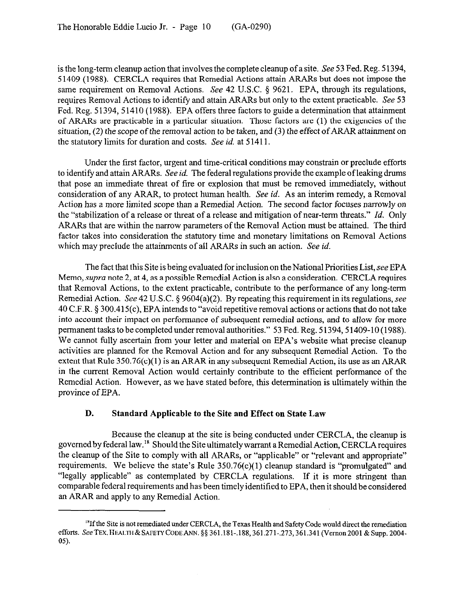is the long-term cleanup action that involves the complete cleanup of a site. See 53 Fed. Reg. 51394, 5 1409 (1988). CERCLA requires that Remedial Actions attain ARARs but does not impose the same requirement on Removal Actions. See 42 U.S.C. § 9621. EPA, through its regulations, requires Removal Actions to identify and attain ARARs but only to the extent practicable. See 53 Fed. Reg. 51394, 51410 (1988). EPA offers three factors to guide a determination that attainment of ARARs are practicable in a particular situation. Those factors are (1) the exigencies of the situation, (2) the scope of the removal action to be taken, and (3) the effect of ARAR attainment on the statutory limits for duration and costs. See *id.* at 5 1411.

Under the first factor, urgent and time-critical conditions may constrain or preclude efforts to identify and attain ARARs. See *id.* The federal regulations provide the example of leaking drums that pose an immediate threat of tire or explosion that must be removed immediately, without consideration of any ARAR, to protect human health. See *id.* As an interim remedy, a Removal Action has a more limited scope than a Remedial Action. The second factor focuses narrowly on the "stabilization of a release or threat of a release and mitigation of near-term threats." *Id.* Only ARARs that are within the narrow parameters of the Removal Action must be attained. The third factor takes into consideration the statutory time and monetary limitations on Removal Actions which may preclude the attainments of all ARARs in such an action. See *id.* 

The fact that this Site is being evaluated for inclusion on the National Priorities List, see EPA Memo, *supra* note 2, at 4, as a possible Remedial Action is also a consideration. CERCLA requires that Removal Actions, to the extent practicable, contribute to the performance of any long-term Remedial Action. See 42 U.S.C.  $\S$  9604(a)(2). By repeating this requirement in its regulations, see 40 C.F.R. 3 300.415(c), EPA intends to "avoid repetitive removal actions or actions that do not take into account their impact on performance of subsequent remedial actions, and to allow for more permanent tasks to be completed under removal authorities." 53 Fed. Reg. 51394, 51409-10 (1988). We cannot fully ascertain from your letter and material on EPA's website what precise cleanup activities are planned for the Removal Action and for any subsequent Remedial Action. To the extent that Rule  $350.76(c)(1)$  is an ARAR in any subsequent Remedial Action, its use as an ARAR in the current Removal Action would certainly contribute to the efficient performance of the Remedial Action. However, as we have stated before, this determination is ultimately within the province of EPA.

### **D. Standard Applicable to the Site and Effect on State Law**

Because the cleanup at the site is being conducted under CERCLA, the cleanup is governed by federal law." Should the Site ultimately warrant a Remedial Action, CERCLA requires the cleanup of the Site to comply with all ARARs, or "applicable" or "relevant and appropriate" requirements. We believe the state's Rule  $350.76(c)(1)$  cleanup standard is "promulgated" and "legally applicable" as contemplated by CERCLA regulations. If it is more stringent than comparable federal requirements and has been timely identified to EPA, then it should be considered an ARAR and apply to any Remedial Action.

<sup>&</sup>lt;sup>18</sup>If the Site is not remediated under CERCLA, the Texas Health and Safety Code would direct the remediation efforts. See TEX. HEALTH & SAFETY CODE ANN. §§ 361.181-.188, 361.271-.273, 361.341 (Vernon 2001 & Supp. 2004-05).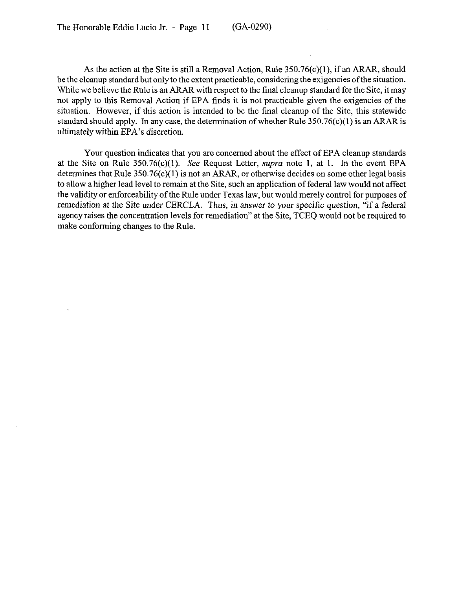As the action at the Site is still a Removal Action, Rule  $350.76(c)(1)$ , if an ARAR, should be the cleanup standard but only to the extent practicable, considering the exigencies ofthe situation. While we believe the Rule is an ARAR with respect to the final cleanup standard for the Site, it may not apply to this Removal Action if EPA finds it is not practicable given the exigencies of the situation. However, if this action is intended to be the final cleanup of the Site, this statewide standard should apply. In any case, the determination of whether Rule  $350.76(c)(1)$  is an ARAR is ultimately within EPA's discretion.

Yom question indicates that you are concerned about the effect of EPA cleanup standards at the Site on Rule  $350.76(c)(1)$ . See Request Letter, *supra* note 1, at 1. In the event EPA determines that Rule  $350.76(c)(1)$  is not an ARAR, or otherwise decides on some other legal basis to allow a higher lead level to remain at the Site, such an application of federal law would not affect the validity or enforceability of the Rule under Texas law, but would merely control for purposes of remediation at the Site under CERCLA. Thus, in answer to your specific question, "if a federal agency raises the concentration levels for remediation" at the Site, TCEQ would not be required to make conforming changes to the Rule.